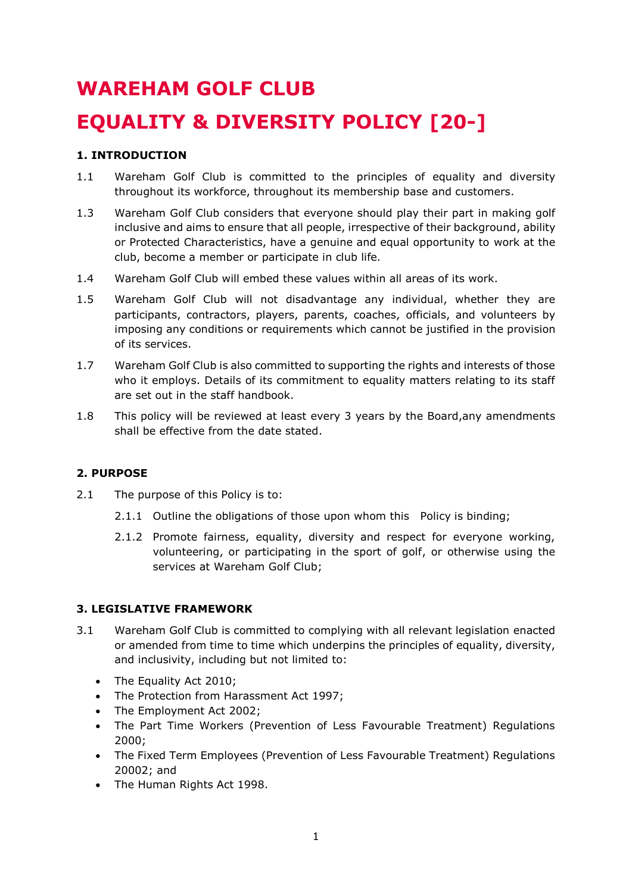# **WAREHAM GOLF CLUB EQUALITY & DIVERSITY POLICY [20-]**

# **1. INTRODUCTION**

- 1.1 Wareham Golf Club is committed to the principles of equality and diversity throughout its workforce, throughout its membership base and customers.
- 1.3 Wareham Golf Club considers that everyone should play their part in making golf inclusive and aims to ensure that all people, irrespective of their background, ability or Protected Characteristics, have a genuine and equal opportunity to work at the club, become a member or participate in club life.
- 1.4 Wareham Golf Club will embed these values within all areas of its work.
- 1.5 Wareham Golf Club will not disadvantage any individual, whether they are participants, contractors, players, parents, coaches, officials, and volunteers by imposing any conditions or requirements which cannot be justified in the provision of its services.
- 1.7 Wareham Golf Club is also committed to supporting the rights and interests of those who it employs. Details of its commitment to equality matters relating to its staff are set out in the staff handbook.
- 1.8 This policy will be reviewed at least every 3 years by the Board,any amendments shall be effective from the date stated.

## **2. PURPOSE**

- 2.1 The purpose of this Policy is to:
	- 2.1.1 Outline the obligations of those upon whom this Policy is binding;
	- 2.1.2 Promote fairness, equality, diversity and respect for everyone working, volunteering, or participating in the sport of golf, or otherwise using the services at Wareham Golf Club;

## **3. LEGISLATIVE FRAMEWORK**

- 3.1 Wareham Golf Club is committed to complying with all relevant legislation enacted or amended from time to time which underpins the principles of equality, diversity, and inclusivity, including but not limited to:
	- The Equality Act 2010:
	- The Protection from Harassment Act 1997;
	- The Employment Act 2002;
	- The Part Time Workers (Prevention of Less Favourable Treatment) Regulations 2000;
	- The Fixed Term Employees (Prevention of Less Favourable Treatment) Regulations 20002; and
	- The Human Rights Act 1998.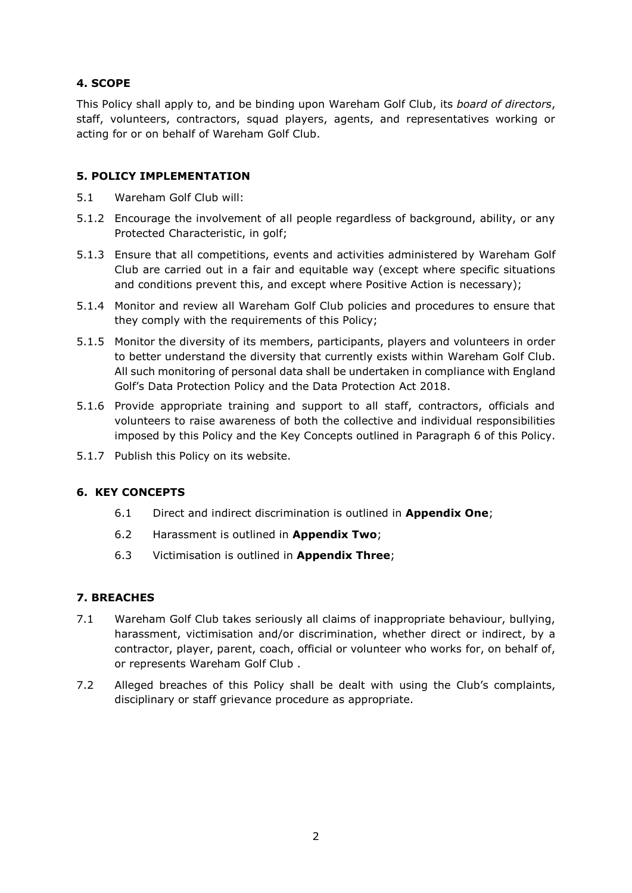# **4. SCOPE**

This Policy shall apply to, and be binding upon Wareham Golf Club, its *board of directors*, staff, volunteers, contractors, squad players, agents, and representatives working or acting for or on behalf of Wareham Golf Club.

#### **5. POLICY IMPLEMENTATION**

- 5.1 Wareham Golf Club will:
- 5.1.2 Encourage the involvement of all people regardless of background, ability, or any Protected Characteristic, in golf;
- 5.1.3 Ensure that all competitions, events and activities administered by Wareham Golf Club are carried out in a fair and equitable way (except where specific situations and conditions prevent this, and except where Positive Action is necessary);
- 5.1.4 Monitor and review all Wareham Golf Club policies and procedures to ensure that they comply with the requirements of this Policy;
- 5.1.5 Monitor the diversity of its members, participants, players and volunteers in order to better understand the diversity that currently exists within Wareham Golf Club. All such monitoring of personal data shall be undertaken in compliance with England Golf's Data Protection Policy and the Data Protection Act 2018.
- 5.1.6 Provide appropriate training and support to all staff, contractors, officials and volunteers to raise awareness of both the collective and individual responsibilities imposed by this Policy and the Key Concepts outlined in Paragraph 6 of this Policy.
- 5.1.7 Publish this Policy on its website.

## **6. KEY CONCEPTS**

- 6.1 Direct and indirect discrimination is outlined in **Appendix One**;
- 6.2 Harassment is outlined in **Appendix Two**;
- 6.3 Victimisation is outlined in **Appendix Three**;

## **7. BREACHES**

- 7.1 Wareham Golf Club takes seriously all claims of inappropriate behaviour, bullying, harassment, victimisation and/or discrimination, whether direct or indirect, by a contractor, player, parent, coach, official or volunteer who works for, on behalf of, or represents Wareham Golf Club .
- 7.2 Alleged breaches of this Policy shall be dealt with using the Club's complaints, disciplinary or staff grievance procedure as appropriate.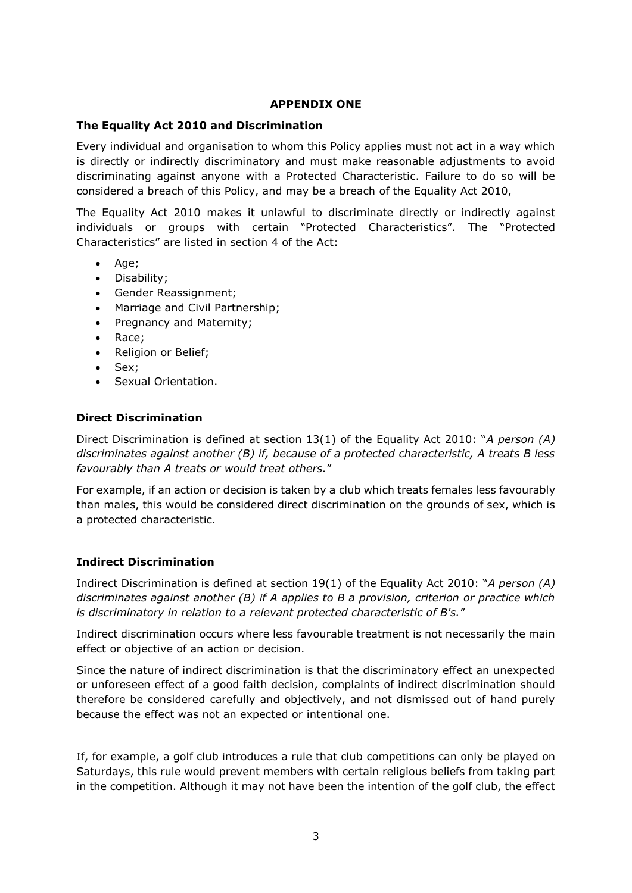#### **APPENDIX ONE**

#### **The Equality Act 2010 and Discrimination**

Every individual and organisation to whom this Policy applies must not act in a way which is directly or indirectly discriminatory and must make reasonable adjustments to avoid discriminating against anyone with a Protected Characteristic. Failure to do so will be considered a breach of this Policy, and may be a breach of the Equality Act 2010,

The Equality Act 2010 makes it unlawful to discriminate directly or indirectly against individuals or groups with certain "Protected Characteristics". The "Protected Characteristics" are listed in section 4 of the Act:

- Age;
- Disability;
- Gender Reassignment;
- Marriage and Civil Partnership;
- Pregnancy and Maternity;
- Race;
- Religion or Belief;
- Sex;
- Sexual Orientation.

#### **Direct Discrimination**

Direct Discrimination is defined at section 13(1) of the Equality Act 2010: "*A person (A) discriminates against another (B) if, because of a protected characteristic, A treats B less favourably than A treats or would treat others.*"

For example, if an action or decision is taken by a club which treats females less favourably than males, this would be considered direct discrimination on the grounds of sex, which is a protected characteristic.

#### **Indirect Discrimination**

Indirect Discrimination is defined at section 19(1) of the Equality Act 2010: "*A person (A) discriminates against another (B) if A applies to B a provision, criterion or practice which is discriminatory in relation to a relevant protected characteristic of B's.*"

Indirect discrimination occurs where less favourable treatment is not necessarily the main effect or objective of an action or decision.

Since the nature of indirect discrimination is that the discriminatory effect an unexpected or unforeseen effect of a good faith decision, complaints of indirect discrimination should therefore be considered carefully and objectively, and not dismissed out of hand purely because the effect was not an expected or intentional one.

If, for example, a golf club introduces a rule that club competitions can only be played on Saturdays, this rule would prevent members with certain religious beliefs from taking part in the competition. Although it may not have been the intention of the golf club, the effect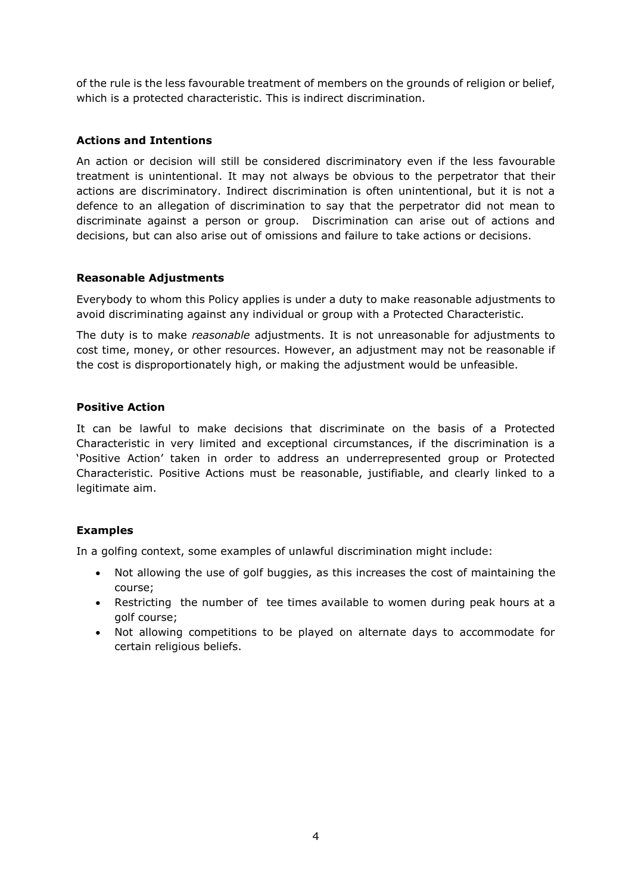of the rule is the less favourable treatment of members on the grounds of religion or belief, which is a protected characteristic. This is indirect discrimination.

# **Actions and Intentions**

An action or decision will still be considered discriminatory even if the less favourable treatment is unintentional. It may not always be obvious to the perpetrator that their actions are discriminatory. Indirect discrimination is often unintentional, but it is not a defence to an allegation of discrimination to say that the perpetrator did not mean to discriminate against a person or group. Discrimination can arise out of actions and decisions, but can also arise out of omissions and failure to take actions or decisions.

## **Reasonable Adjustments**

Everybody to whom this Policy applies is under a duty to make reasonable adjustments to avoid discriminating against any individual or group with a Protected Characteristic.

The duty is to make *reasonable* adjustments. It is not unreasonable for adjustments to cost time, money, or other resources. However, an adjustment may not be reasonable if the cost is disproportionately high, or making the adjustment would be unfeasible.

## **Positive Action**

It can be lawful to make decisions that discriminate on the basis of a Protected Characteristic in very limited and exceptional circumstances, if the discrimination is a 'Positive Action' taken in order to address an underrepresented group or Protected Characteristic. Positive Actions must be reasonable, justifiable, and clearly linked to a legitimate aim.

# **Examples**

In a golfing context, some examples of unlawful discrimination might include:

- Not allowing the use of golf buggies, as this increases the cost of maintaining the course;
- Restricting the number of tee times available to women during peak hours at a golf course;
- Not allowing competitions to be played on alternate days to accommodate for certain religious beliefs.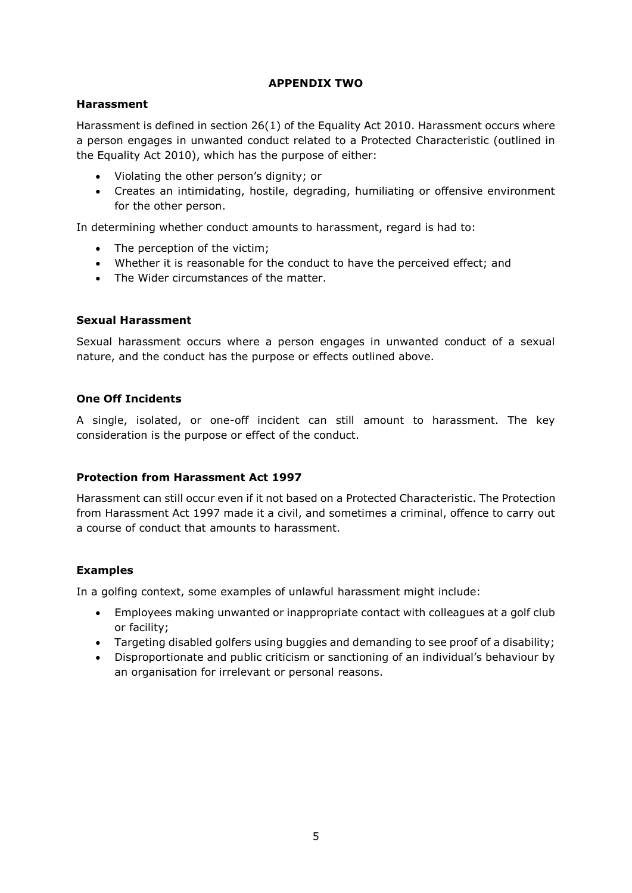## **APPENDIX TWO**

## **Harassment**

Harassment is defined in section 26(1) of the Equality Act 2010. Harassment occurs where a person engages in unwanted conduct related to a Protected Characteristic (outlined in the Equality Act 2010), which has the purpose of either:

- Violating the other person's dignity; or
- Creates an intimidating, hostile, degrading, humiliating or offensive environment for the other person.

In determining whether conduct amounts to harassment, regard is had to:

- The perception of the victim;
- Whether it is reasonable for the conduct to have the perceived effect; and
- The Wider circumstances of the matter.

## **Sexual Harassment**

Sexual harassment occurs where a person engages in unwanted conduct of a sexual nature, and the conduct has the purpose or effects outlined above.

# **One Off Incidents**

A single, isolated, or one-off incident can still amount to harassment. The key consideration is the purpose or effect of the conduct.

## **Protection from Harassment Act 1997**

Harassment can still occur even if it not based on a Protected Characteristic. The Protection from Harassment Act 1997 made it a civil, and sometimes a criminal, offence to carry out a course of conduct that amounts to harassment.

# **Examples**

In a golfing context, some examples of unlawful harassment might include:

- Employees making unwanted or inappropriate contact with colleagues at a golf club or facility;
- Targeting disabled golfers using buggies and demanding to see proof of a disability;
- Disproportionate and public criticism or sanctioning of an individual's behaviour by an organisation for irrelevant or personal reasons.